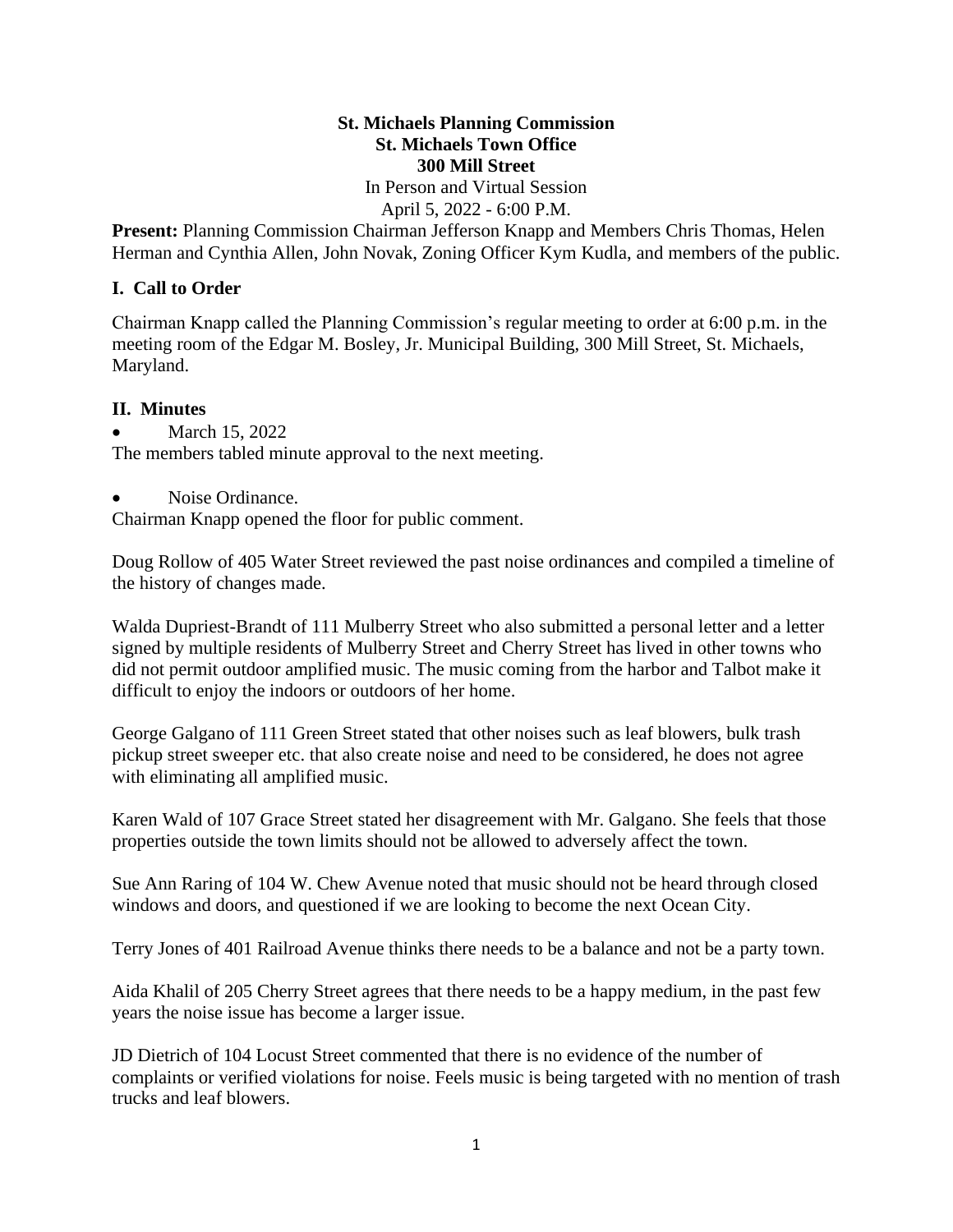## **St. Michaels Planning Commission St. Michaels Town Office 300 Mill Street**  In Person and Virtual Session

April 5, 2022 - 6:00 P.M.

**Present:** Planning Commission Chairman Jefferson Knapp and Members Chris Thomas, Helen Herman and Cynthia Allen, John Novak, Zoning Officer Kym Kudla, and members of the public.

## **I. Call to Order**

Chairman Knapp called the Planning Commission's regular meeting to order at 6:00 p.m. in the meeting room of the Edgar M. Bosley, Jr. Municipal Building, 300 Mill Street, St. Michaels, Maryland.

## **II. Minutes**

March 15, 2022

The members tabled minute approval to the next meeting.

• Noise Ordinance.

Chairman Knapp opened the floor for public comment.

Doug Rollow of 405 Water Street reviewed the past noise ordinances and compiled a timeline of the history of changes made.

Walda Dupriest-Brandt of 111 Mulberry Street who also submitted a personal letter and a letter signed by multiple residents of Mulberry Street and Cherry Street has lived in other towns who did not permit outdoor amplified music. The music coming from the harbor and Talbot make it difficult to enjoy the indoors or outdoors of her home.

George Galgano of 111 Green Street stated that other noises such as leaf blowers, bulk trash pickup street sweeper etc. that also create noise and need to be considered, he does not agree with eliminating all amplified music.

Karen Wald of 107 Grace Street stated her disagreement with Mr. Galgano. She feels that those properties outside the town limits should not be allowed to adversely affect the town.

Sue Ann Raring of 104 W. Chew Avenue noted that music should not be heard through closed windows and doors, and questioned if we are looking to become the next Ocean City.

Terry Jones of 401 Railroad Avenue thinks there needs to be a balance and not be a party town.

Aida Khalil of 205 Cherry Street agrees that there needs to be a happy medium, in the past few years the noise issue has become a larger issue.

JD Dietrich of 104 Locust Street commented that there is no evidence of the number of complaints or verified violations for noise. Feels music is being targeted with no mention of trash trucks and leaf blowers.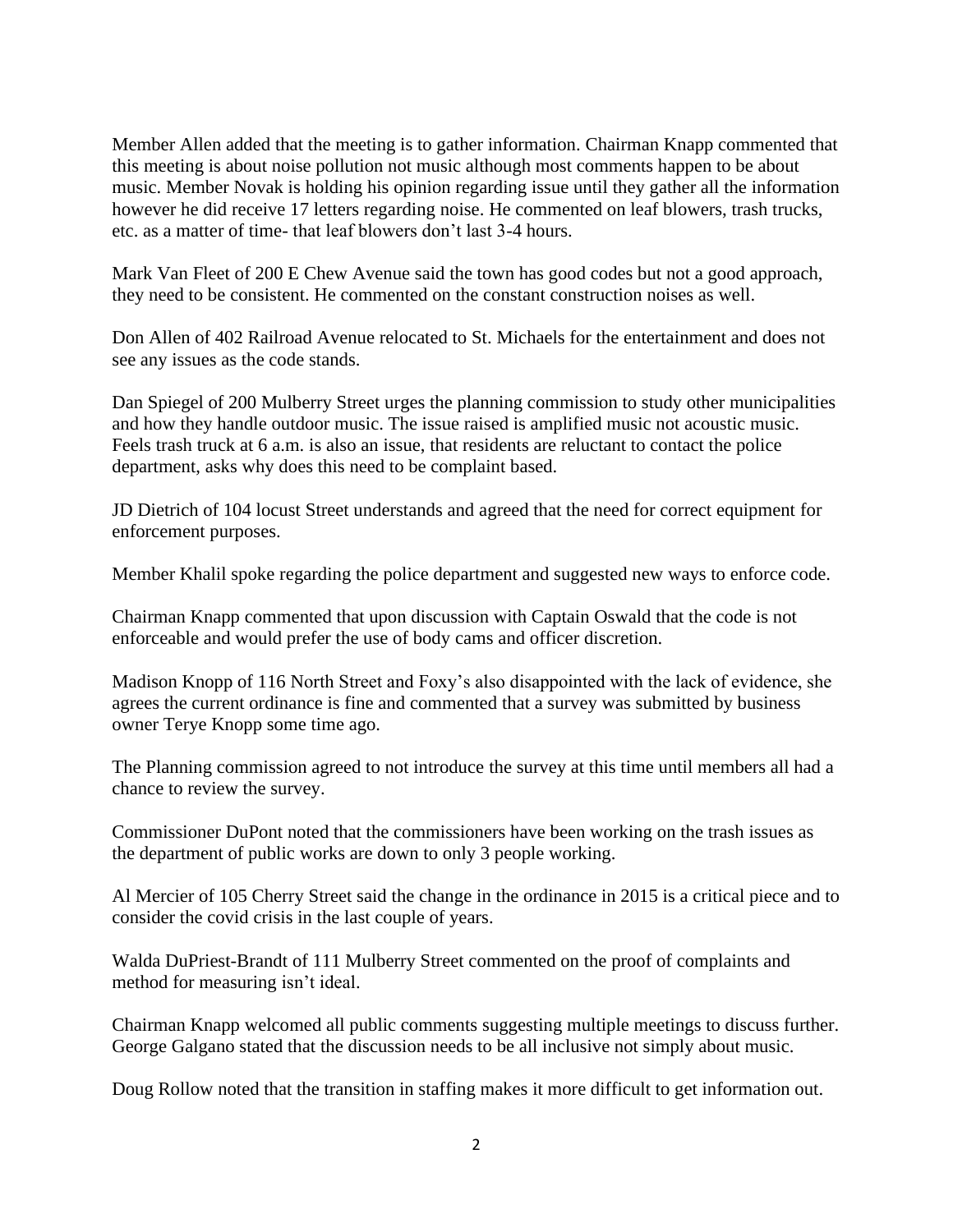Member Allen added that the meeting is to gather information. Chairman Knapp commented that this meeting is about noise pollution not music although most comments happen to be about music. Member Novak is holding his opinion regarding issue until they gather all the information however he did receive 17 letters regarding noise. He commented on leaf blowers, trash trucks, etc. as a matter of time- that leaf blowers don't last 3-4 hours.

Mark Van Fleet of 200 E Chew Avenue said the town has good codes but not a good approach, they need to be consistent. He commented on the constant construction noises as well.

Don Allen of 402 Railroad Avenue relocated to St. Michaels for the entertainment and does not see any issues as the code stands.

Dan Spiegel of 200 Mulberry Street urges the planning commission to study other municipalities and how they handle outdoor music. The issue raised is amplified music not acoustic music. Feels trash truck at 6 a.m. is also an issue, that residents are reluctant to contact the police department, asks why does this need to be complaint based.

JD Dietrich of 104 locust Street understands and agreed that the need for correct equipment for enforcement purposes.

Member Khalil spoke regarding the police department and suggested new ways to enforce code.

Chairman Knapp commented that upon discussion with Captain Oswald that the code is not enforceable and would prefer the use of body cams and officer discretion.

Madison Knopp of 116 North Street and Foxy's also disappointed with the lack of evidence, she agrees the current ordinance is fine and commented that a survey was submitted by business owner Terye Knopp some time ago.

The Planning commission agreed to not introduce the survey at this time until members all had a chance to review the survey.

Commissioner DuPont noted that the commissioners have been working on the trash issues as the department of public works are down to only 3 people working.

Al Mercier of 105 Cherry Street said the change in the ordinance in 2015 is a critical piece and to consider the covid crisis in the last couple of years.

Walda DuPriest-Brandt of 111 Mulberry Street commented on the proof of complaints and method for measuring isn't ideal.

Chairman Knapp welcomed all public comments suggesting multiple meetings to discuss further. George Galgano stated that the discussion needs to be all inclusive not simply about music.

Doug Rollow noted that the transition in staffing makes it more difficult to get information out.